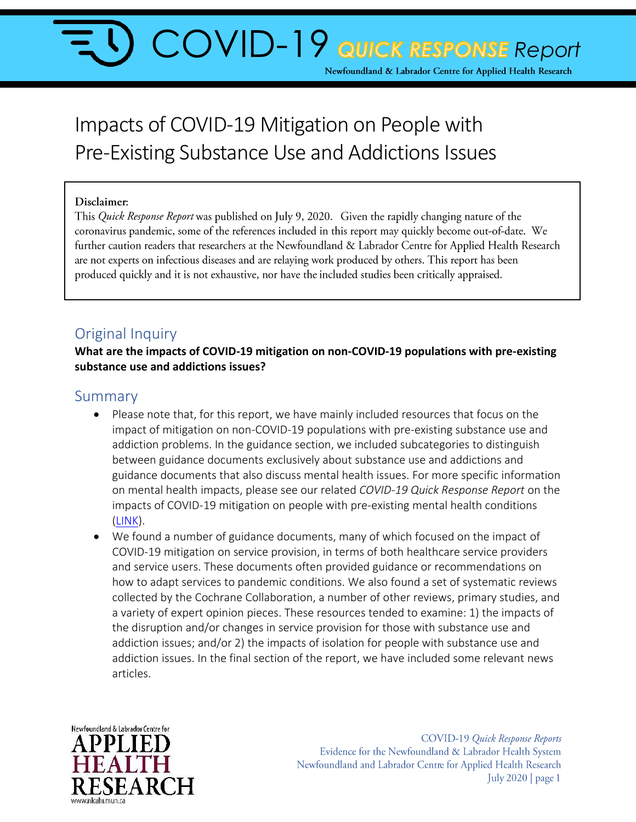# **COVID-19 QUICK RESPONSE Report** Newfoundland & Labrador Centre for Applied Health Research

## Impacts of COVID-19 Mitigation on People with Pre-Existing Substance Use and Addictions Issues

#### Disclaimer:

This *Quick Response Report* was published on July 9, 2020. Given the rapidly changing nature of the coronavirus pandemic, some of the references included in this report may quickly become out-of-date. We further caution readers that researchers at the Newfoundland & Labrador Centre for Applied Health Research are not experts on infectious diseases and are relaying work produced by others. This report has been produced quickly and it is not exhaustive, nor have the included studies been critically appraised.

## Original Inquiry

**What are the impacts of COVID-19 mitigation on non-COVID-19 populations with pre-existing substance use and addictions issues?**

#### Summary

- Please note that, for this report, we have mainly included resources that focus on the impact of mitigation on non-COVID-19 populations with pre-existing substance use and addiction problems. In the guidance section, we included subcategories to distinguish between guidance documents exclusively about substance use and addictions and guidance documents that also discuss mental health issues. For more specific information on mental health impacts, please see our related *COVID-19 Quick Response Report* on the impacts of COVID-19 mitigation on people with pre-existing mental health conditions [\(LINK\)](https://www.nlcahr.mun.ca/CHRSP/COVIDQuickResponse.php).
- We found a number of guidance documents, many of which focused on the impact of COVID-19 mitigation on service provision, in terms of both healthcare service providers and service users. These documents often provided guidance or recommendations on how to adapt services to pandemic conditions. We also found a set of systematic reviews collected by the Cochrane Collaboration, a number of other reviews, primary studies, and a variety of expert opinion pieces. These resources tended to examine: 1) the impacts of the disruption and/or changes in service provision for those with substance use and addiction issues; and/or 2) the impacts of isolation for people with substance use and addiction issues. In the final section of the report, we have included some relevant news articles.



COVID-19 Quick Response Reports Evidence for the Newfoundland & Labrador Health System Newfoundland and Labrador Centre for Applied Health Research July 2020 | page 1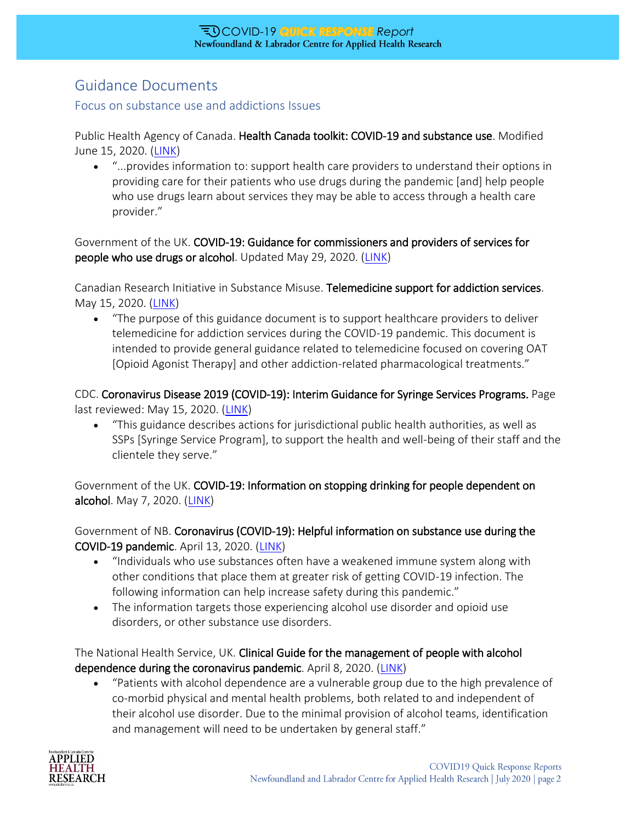## Guidance Documents

#### Focus on substance use and addictions Issues

Public Health Agency of Canada. Health Canada toolkit: COVID-19 and substance use. Modified June 15, 2020. [\(LINK\)](https://www.canada.ca/en/health-canada/services/substance-use/toolkit-substance-use-covid-19.html)

 "...provides information to: support health care providers to understand their options in providing care for their patients who use drugs during the pandemic [and] help people who use drugs learn about services they may be able to access through a health care provider."

Government of the UK. COVID-19: Guidance for commissioners and providers of services for people who use drugs or alcohol. Updated May 29, 2020. [\(LINK\)](https://www.gov.uk/government/publications/covid-19-guidance-for-commissioners-and-providers-of-services-for-people-who-use-drugs-or-alcohol/covid-19-guidance-for-commissioners-and-providers-of-services-for-people-who-use-drugs-or-alcohol)

Canadian Research Initiative in Substance Misuse. Telemedicine support for addiction services. May 15, 2020. [\(LINK\)](https://crism.ca/wp-content/uploads/2020/05/CRISM-National-Rapid-Guidance-Telemedicine-V1.pdf)

 "The purpose of this guidance document is to support healthcare providers to deliver telemedicine for addiction services during the COVID-19 pandemic. This document is intended to provide general guidance related to telemedicine focused on covering OAT [Opioid Agonist Therapy] and other addiction-related pharmacological treatments."

CDC. Coronavirus Disease 2019 (COVID-19): Interim Guidance for Syringe Services Programs. Page last reviewed: May 15, 2020. [\(LINK\)](https://www.cdc.gov/coronavirus/2019-ncov/php/syringe-service-programs.html)

 "This guidance describes actions for jurisdictional public health authorities, as well as SSPs [Syringe Service Program], to support the health and well-being of their staff and the clientele they serve."

Government of the UK. COVID-19: Information on stopping drinking for people dependent on alcohol. May 7, 2020. [\(LINK\)](https://www.gov.uk/government/publications/covid-19-information-on-stopping-drinking-for-people-dependent-on-alcohol/covid-19-information-on-stopping-drinking-for-people-dependent-on-alcohol)

Government of NB. Coronavirus (COVID-19): Helpful information on substance use during the COVID-19 pandemic. April 13, 2020. [\(LINK\)](https://www2.gnb.ca/content/dam/gnb/Departments/h-s/pdf/Informationforsubstance.pdf)

- "Individuals who use substances often have a weakened immune system along with other conditions that place them at greater risk of getting COVID-19 infection. The following information can help increase safety during this pandemic."
- The information targets those experiencing alcohol use disorder and opioid use disorders, or other substance use disorders.

The National Health Service, UK. Clinical Guide for the management of people with alcohol dependence during the coronavirus pandemic. April 8, 2020. [\(LINK\)](https://www.england.nhs.uk/coronavirus/wp-content/uploads/sites/52/2020/04/C0157-Specialty-guide_-Alcohol-Dependence-and-coronavirus_8-April.pdf)

 "Patients with alcohol dependence are a vulnerable group due to the high prevalence of co-morbid physical and mental health problems, both related to and independent of their alcohol use disorder. Due to the minimal provision of alcohol teams, identification and management will need to be undertaken by general staff."

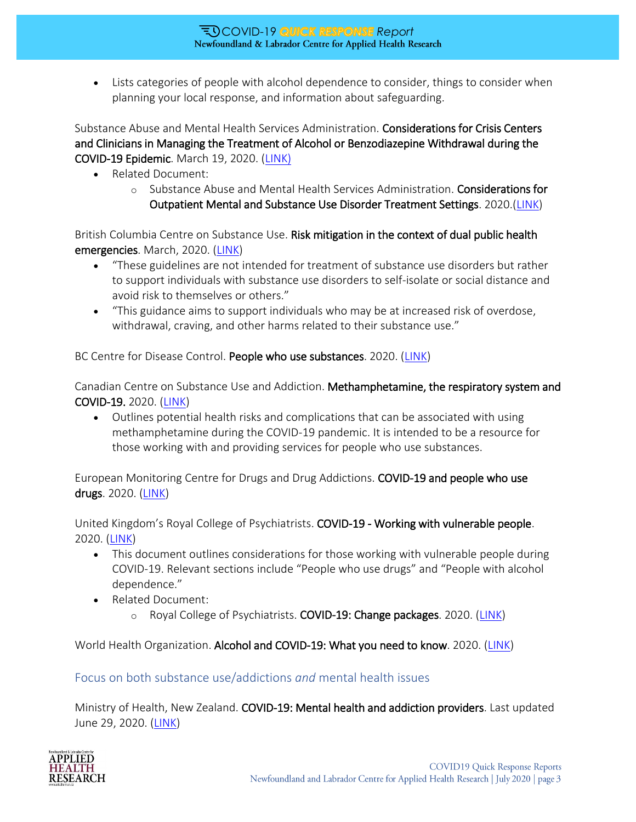Lists categories of people with alcohol dependence to consider, things to consider when planning your local response, and information about safeguarding.

Substance Abuse and Mental Health Services Administration. Considerations for Crisis Centers and Clinicians in Managing the Treatment of Alcohol or Benzodiazepine Withdrawal during the COVID-19 Epidemic. March 19, 2020. [\(LINK\)](https://www.samhsa.gov/sites/default/files/considerations-crisis-centers-clinicians-treatment-alcohol-benzodiazepine-withdrawal.pdf)

- Related Document:
	- o Substance Abuse and Mental Health Services Administration. Considerations for Outpatient Mental and Substance Use Disorder Treatment Settings. 2020.[\(LINK\)](https://www.samhsa.gov/sites/default/files/considerations-outpatient-mental-substance-use-disorder-treatment-settings.pdf)

British Columbia Centre on Substance Use. Risk mitigation in the context of dual public health emergencies. March, 2020. [\(LINK\)](https://www.bccsu.ca/wp-content/uploads/2020/04/Risk-Mitigation-in-the-Context-of-Dual-Public-Health-Emergencies-v1.5.pdf)

- "These guidelines are not intended for treatment of substance use disorders but rather to support individuals with substance use disorders to self-isolate or social distance and avoid risk to themselves or others."
- "This guidance aims to support individuals who may be at increased risk of overdose, withdrawal, craving, and other harms related to their substance use."

BC Centre for Disease Control. People who use substances. 2020. [\(LINK\)](http://www.bccdc.ca/health-info/diseases-conditions/covid-19/priority-populations/people-who-use-substances)

Canadian Centre on Substance Use and Addiction. Methamphetamine, the respiratory system and COVID-19. 2020. [\(LINK\)](https://www.ccsa.ca/sites/default/files/2020-05/CCSA-COVID-19-Methamphetamine-Respiratory-System-Report-2020-en_0.pdf)

 Outlines potential health risks and complications that can be associated with using methamphetamine during the COVID-19 pandemic. It is intended to be a resource for those working with and providing services for people who use substances.

European Monitoring Centre for Drugs and Drug Addictions. COVID-19 and people who use drugs. 2020. [\(LINK\)](https://www.emcdda.europa.eu/publications/topic-overviews/covid-19-and-people-who-use-drugs)

United Kingdom's Royal College of Psychiatrists. COVID-19 - Working with vulnerable people. 2020. [\(LINK\)](https://www.rcpsych.ac.uk/about-us/responding-to-covid-19/responding-to-covid-19-guidance-for-clinicians/community-and-inpatient-services/covid-19-working-with-vulnerable-patients)

- This document outlines considerations for those working with vulnerable people during COVID-19. Relevant sections include "People who use drugs" and "People with alcohol dependence."
- Related Document:
	- o Royal College of Psychiatrists. COVID-19: Change packages. 2020. [\(LINK\)](https://www.rcpsych.ac.uk/improving-care/nccmh/covid-19-mental-health-improvement-network/change-packages)

World Health Organization. Alcohol and COVID-19: What you need to know. 2020. [\(LINK\)](https://www.euro.who.int/__data/assets/pdf_file/0010/437608/Alcohol-and-COVID-19-what-you-need-to-know.pdf)

#### Focus on both substance use/addictions *and* mental health issues

Ministry of Health, New Zealand. COVID-19: Mental health and addiction providers. Last updated June 29, 2020. [\(LINK\)](https://www.health.govt.nz/our-work/diseases-and-conditions/covid-19-novel-coronavirus/covid-19-resources-health-professionals/covid-19-mental-health-and-addiction-providers)

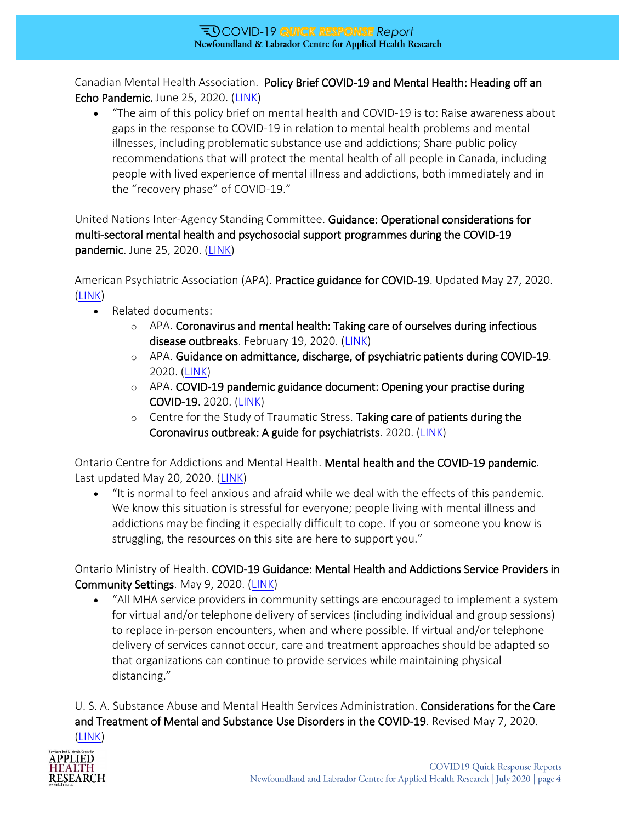Canadian Mental Health Association. Policy Brief COVID-19 and Mental Health: Heading off an Echo Pandemic. June 25, 2020. [\(LINK\)](https://cmha.ca/wp-content/uploads/2020/06/EN_COVID-19-Policy-Brief.pdf)

 "The aim of this policy brief on mental health and COVID-19 is to: Raise awareness about gaps in the response to COVID-19 in relation to mental health problems and mental illnesses, including problematic substance use and addictions; Share public policy recommendations that will protect the mental health of all people in Canada, including people with lived experience of mental illness and addictions, both immediately and in the "recovery phase" of COVID-19."

United Nations Inter-Agency Standing Committee. Guidance: Operational considerations for multi-sectoral mental health and psychosocial support programmes during the COVID-19 pandemic. June 25, 2020. [\(LINK\)](https://interagencystandingcommittee.org/iasc-reference-group-mental-health-and-psychosocial-support-emergency-settings/iasc-guidance)

American Psychiatric Association (APA). Practice guidance for COVID-19. Updated May 27, 2020. [\(LINK\)](https://www.psychiatry.org/psychiatrists/covid-19-coronavirus/practice-guidance-for-covid-19)

- Related documents:
	- $\circ$  APA. Coronavirus and mental health: Taking care of ourselves during infectious disease outbreaks. February 19, 2020. [\(LINK\)](https://www.psychiatry.org/news-room/apa-blogs/apa-blog/2020/02/coronavirus-and-mental-health-taking-care-of-ourselves-during-infectious-disease-outbreaks)
	- o APA. Guidance on admittance, discharge, of psychiatric patients during COVID-19. 2020. [\(LINK\)](https://www.psychiatry.org/File%20Library/Psychiatrists/APA-Guidance-Admittance-Discharge-of-Patients-COVID-19.pdf)
	- $\circ$  APA. COVID-19 pandemic guidance document: Opening your practise during COVID-19. 2020. [\(LINK\)](https://www.psychiatry.org/File%20Library/Psychiatrists/APA-Guidance-Opening-Practice-COVID-19.pdf)
	- $\circ$  Centre for the Study of Traumatic Stress. Taking care of patients during the Coronavirus outbreak: A guide for psychiatrists. 2020. [\(LINK\)](https://www.humanitarianlibrary.org/sites/default/files/2020/05/CSTS_FS_Taking_Care_of_Patients_During_Coronavirus_Outbreak_A_Guide_for_Psychiatrists_03_03_2020.pdf)

Ontario Centre for Addictions and Mental Health. Mental health and the COVID-19 pandemic. Last updated May 20, 2020. [\(LINK\)](https://www.camh.ca/en/health-info/mental-health-and-covid-19)

 "It is normal to feel anxious and afraid while we deal with the effects of this pandemic. We know this situation is stressful for everyone; people living with mental illness and addictions may be finding it especially difficult to cope. If you or someone you know is struggling, the resources on this site are here to support you."

Ontario Ministry of Health. COVID-19 Guidance: Mental Health and Addictions Service Providers in Community Settings. May 9, 2020. [\(LINK\)](http://www.health.gov.on.ca/en/pro/programs/publichealth/coronavirus/docs/2019_MHAS_Community_guidance.pdf)

 "All MHA service providers in community settings are encouraged to implement a system for virtual and/or telephone delivery of services (including individual and group sessions) to replace in-person encounters, when and where possible. If virtual and/or telephone delivery of services cannot occur, care and treatment approaches should be adapted so that organizations can continue to provide services while maintaining physical distancing."

U. S. A. Substance Abuse and Mental Health Services Administration. Considerations for the Care and Treatment of Mental and Substance Use Disorders in the COVID-19. Revised May 7, 2020. [\(LINK\)](https://www.samhsa.gov/sites/default/files/considerations-care-treatment-mental-substance-use-disorders-covid19.pdf)

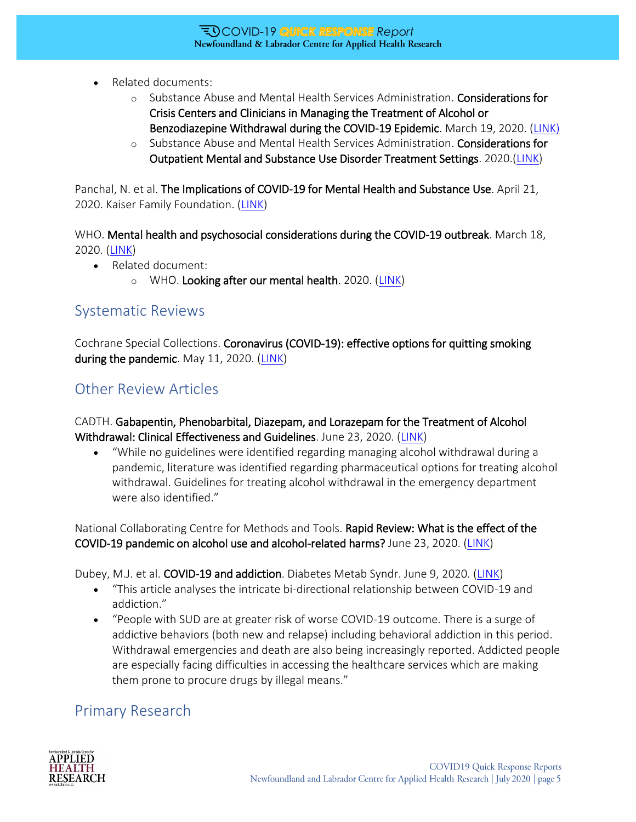- Related documents:
	- o Substance Abuse and Mental Health Services Administration. Considerations for Crisis Centers and Clinicians in Managing the Treatment of Alcohol or Benzodiazepine Withdrawal during the COVID-19 Epidemic. March 19, 2020. [\(LINK\)](https://www.samhsa.gov/sites/default/files/considerations-crisis-centers-clinicians-treatment-alcohol-benzodiazepine-withdrawal.pdf)
	- o Substance Abuse and Mental Health Services Administration. Considerations for Outpatient Mental and Substance Use Disorder Treatment Settings. 2020.[\(LINK\)](https://www.samhsa.gov/sites/default/files/considerations-outpatient-mental-substance-use-disorder-treatment-settings.pdf)

Panchal, N. et al. The Implications of COVID-19 for Mental Health and Substance Use. April 21, 2020. Kaiser Family Foundation. [\(LINK\)](https://www.kff.org/health-reform/issue-brief/the-implications-of-covid-19-for-mental-health-and-substance-use/)

WHO. Mental health and psychosocial considerations during the COVID-19 outbreak. March 18, 2020. [\(LINK\)](https://www.who.int/publications/i/item/mental-health-and-psychosocial-considerations-during-the-covid-19-outbreak)

- Related document:
	- o WHO. Looking after our mental health. 2020. [\(LINK\)](https://www.who.int/campaigns/connecting-the-world-to-combat-coronavirus/healthyathome/healthyathome---mental-health)

### Systematic Reviews

Cochrane Special Collections. Coronavirus (COVID-19): effective options for quitting smoking during the pandemic. May 11, 2020. [\(LINK\)](https://www.cochranelibrary.com/collections/doi/SC000042/full)

## Other Review Articles

CADTH. Gabapentin, Phenobarbital, Diazepam, and Lorazepam for the Treatment of Alcohol Withdrawal: Clinical Effectiveness and Guidelines. June 23, 2020. [\(LINK\)](https://covid.cadth.ca/treatment/clinical-effectiveness-and-guidelines/)

 "While no guidelines were identified regarding managing alcohol withdrawal during a pandemic, literature was identified regarding pharmaceutical options for treating alcohol withdrawal. Guidelines for treating alcohol withdrawal in the emergency department were also identified."

National Collaborating Centre for Methods and Tools. Rapid Review: What is the effect of the COVID-19 pandemic on alcohol use and alcohol-related harms? June 23, 2020. [\(LINK\)](https://www.nccmt.ca/uploads/media/media/0001/02/90c030b02d4714b21ef9204ea1ddbba1a667f977.pdf)

Dubey, M.J. et al. COVID-19 and addiction. Diabetes Metab Syndr. June 9, 2020. [\(LINK\)](https://www.ncbi.nlm.nih.gov/pmc/articles/PMC7282772/)

- "This article analyses the intricate bi-directional relationship between COVID-19 and addiction."
- "People with SUD are at greater risk of worse COVID-19 outcome. There is a surge of addictive behaviors (both new and relapse) including behavioral addiction in this period. Withdrawal emergencies and death are also being increasingly reported. Addicted people are especially facing difficulties in accessing the healthcare services which are making them prone to procure drugs by illegal means."

## Primary Research

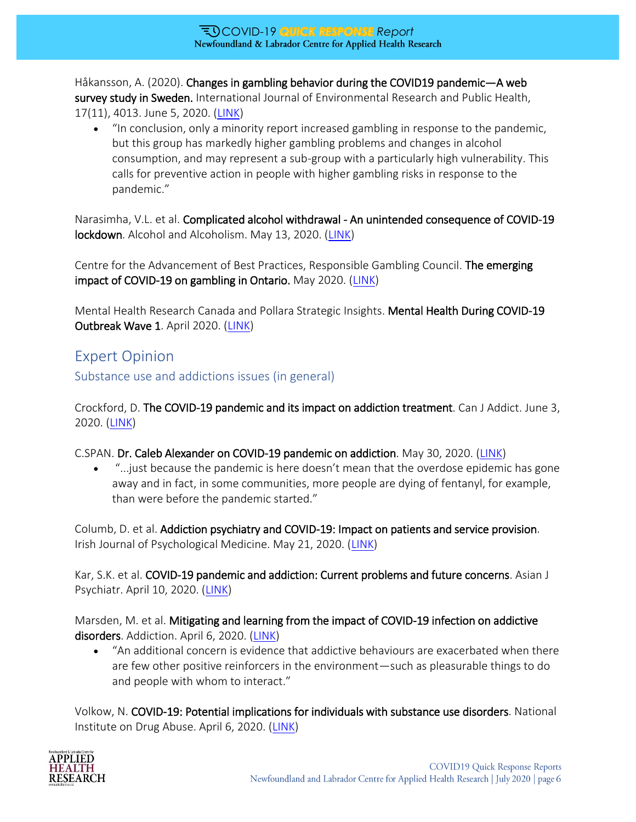Håkansson, A. (2020). Changes in gambling behavior during the COVID19 pandemic—A web survey study in Sweden. International Journal of Environmental Research and Public Health, 17(11), 4013. June 5, 2020. [\(LINK\)](https://www.mdpi.com/1660-4601/17/11/4013)

 "In conclusion, only a minority report increased gambling in response to the pandemic, but this group has markedly higher gambling problems and changes in alcohol consumption, and may represent a sub-group with a particularly high vulnerability. This calls for preventive action in people with higher gambling risks in response to the pandemic."

Narasimha, V.L. et al. Complicated alcohol withdrawal - An unintended consequence of COVID-19 lockdown. Alcohol and Alcoholism. May 13, 2020. [\(LINK\)](https://academic.oup.com/alcalc/article/55/4/350/5835492)

Centre for the Advancement of Best Practices, Responsible Gambling Council. The emerging impact of COVID-19 on gambling in Ontario. May 2020. [\(LINK\)](https://www.responsiblegambling.org/wp-content/uploads/RGC-COVID-and-Online-Gambling-Report_June8.pdf)

Mental Health Research Canada and Pollara Strategic Insights. Mental Health During COVID-19 Outbreak Wave 1. April 2020. [\(LINK\)](https://www.mhrc.ca/wp-content/uploads/2020/05/Full-Report-of-Findings-of-Survey-FINAL.pdf)

### Expert Opinion

Substance use and addictions issues (in general)

Crockford, D. The COVID-19 pandemic and its impact on addiction treatment. Can J Addict. June 3, 2020. [\(LINK\)](https://www.ncbi.nlm.nih.gov/pmc/articles/PMC7309648/)

C.SPAN. Dr. Caleb Alexander on COVID-19 pandemic on addiction. May 30, 2020. [\(LINK\)](https://www.c-span.org/video/?472510-6/washington-journal-dr-caleb-alexander-discusses-covid-19-pandemic-impact-addiction&event=472510&playEvent)

"...just because the pandemic is here doesn't mean that the overdose epidemic has gone away and in fact, in some communities, more people are dying of fentanyl, for example, than were before the pandemic started."

Columb, D. et al. Addiction psychiatry and COVID-19: Impact on patients and service provision. Irish Journal of Psychological Medicine. May 21, 2020. [\(LINK\)](https://www.cambridge.org/core/journals/irish-journal-of-psychological-medicine/article/addiction-psychiatry-and-covid19-impact-on-patients-and-service-provision/160E5C739C518251C7B82CE42D927055/core-reader)

Kar, S.K. et al. COVID-19 pandemic and addiction: Current problems and future concerns. Asian J Psychiatr. April 10, 2020. [\(LINK\)](https://www.sciencedirect.com/science/article/pii/S1876201820301751?via%3Dihub)

Marsden, M. et al. Mitigating and learning from the impact of COVID-19 infection on addictive disorders. Addiction. April 6, 2020. [\(LINK\)](https://onlinelibrary.wiley.com/doi/10.1111/add.15080)

 "An additional concern is evidence that addictive behaviours are exacerbated when there are few other positive reinforcers in the environment—such as pleasurable things to do and people with whom to interact."

Volkow, N. COVID-19: Potential implications for individuals with substance use disorders. National Institute on Drug Abuse. April 6, 2020. [\(LINK\)](https://www.drugabuse.gov/about-nida/noras-blog/2020/04/covid-19-potential-implications-individuals-substance-use-disorders)

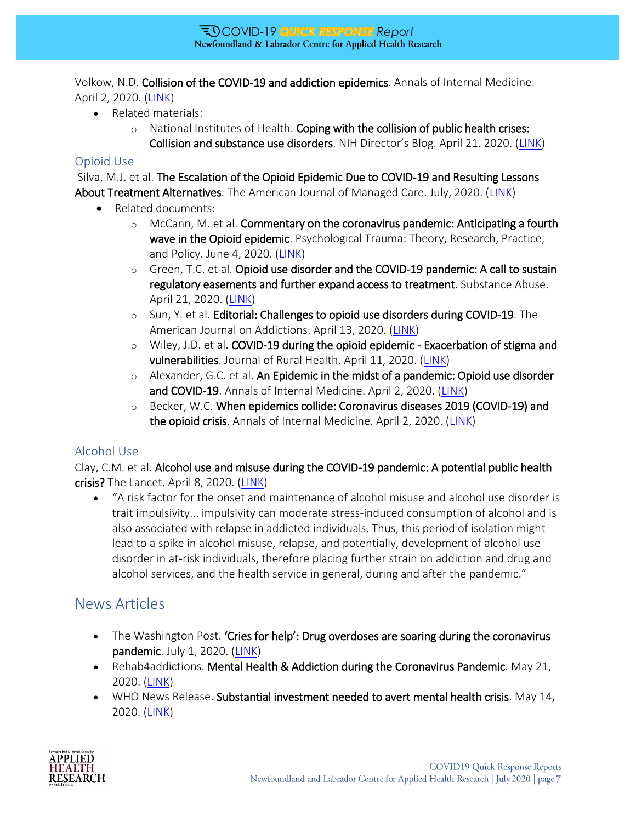Volkow, N.D. Collision of the COVID-19 and addiction epidemics. Annals of Internal Medicine. April 2, 2020. [\(LINK\)](https://www.acpjournals.org/doi/10.7326/M20-1212)

- Related materials:
	- $\circ$  National Institutes of Health. Coping with the collision of public health crises: Collision and substance use disorders. NIH Director's Blog. April 21. 2020. ([LINK\)](https://directorsblog.nih.gov/2020/04/21/coping-with-the-collision-of-public-health-crises-covid-19-and-substance-use-disorders/)

#### Opioid Use

Silva, M.J. et al. The Escalation of the Opioid Epidemic Due to COVID-19 and Resulting Lessons About Treatment Alternatives. The American Journal of Managed Care. July, 2020. [\(LINK\)](http://ajmc.s3.amazonaws.com/_media/_pdf/AJMC_07_2020_Silva%205-28-20%20rev.pdf)

- Related documents:
	- $\circ$  McCann, M. et al. Commentary on the coronavirus pandemic: Anticipating a fourth wave in the Opioid epidemic. Psychological Trauma: Theory, Research, Practice, and Policy. June 4, 2020. [\(LINK\)](https://doi.apa.org/fulltext/2020-38576-001.html)
	- $\circ$  Green, T.C. et al. Opioid use disorder and the COVID-19 pandemic: A call to sustain regulatory easements and further expand access to treatment. Substance Abuse. April 21, 2020. [\(LINK\)](https://www.tandfonline.com/doi/full/10.1080/08897077.2020.1752351)
	- $\circ$  Sun, Y. et al. Editorial: Challenges to opioid use disorders during COVID-19. The American Journal on Addictions. April 13, 2020. [\(LINK\)](https://onlinelibrary.wiley.com/doi/full/10.1111/ajad.13031)
	- $\circ$  Wiley, J.D. et al. COVID-19 during the opioid epidemic Exacerbation of stigma and vulnerabilities. Journal of Rural Health. April 11, 2020. [\(LINK\)](https://onlinelibrary.wiley.com/doi/full/10.1111/jrh.12442)
	- $\circ$  Alexander, G.C. et al. An Epidemic in the midst of a pandemic: Opioid use disorder and COVID-19. Annals of Internal Medicine. April 2, 2020. [\(LINK\)](https://www.acpjournals.org/doi/10.7326/M20-1141)
	- $\circ$  Becker, W.C. When epidemics collide: Coronavirus diseases 2019 (COVID-19) and the opioid crisis. Annals of Internal Medicine. April 2, 2020. [\(LINK\)](https://www.acpjournals.org/doi/full/10.7326/M20-1210?url_ver=Z39.88-2003&rfr_id=ori:rid:crossref.org&rfr_dat=cr_pub%20%200pubmed)

#### Alcohol Use

Clay, C.M. et al. Alcohol use and misuse during the COVID-19 pandemic: A potential public health crisis? The Lancet. April 8, 2020. [\(LINK\)](https://www.thelancet.com/pdfs/journals/lanpub/PIIS2468-2667(20)30088-8.pdf)

 "A risk factor for the onset and maintenance of alcohol misuse and alcohol use disorder is trait impulsivity... impulsivity can moderate stress-induced consumption of alcohol and is also associated with relapse in addicted individuals. Thus, this period of isolation might lead to a spike in alcohol misuse, relapse, and potentially, development of alcohol use disorder in at-risk individuals, therefore placing further strain on addiction and drug and alcohol services, and the health service in general, during and after the pandemic."

#### News Articles

- The Washington Post. 'Cries for help': Drug overdoses are soaring during the coronavirus pandemic. July 1, 2020. [\(LINK\)](https://www.washingtonpost.com/health/2020/07/01/coronavirus-drug-overdose/)
- Rehab4addictions. Mental Health & Addiction during the Coronavirus Pandemic. May 21, 2020. [\(LINK\)](https://www.rehab4addiction.co.uk/blog/addiction-mental-health-coronavirus)
- WHO News Release. Substantial investment needed to avert mental health crisis. May 14, 2020. [\(LINK\)](https://www.who.int/news-room/detail/14-05-2020-substantial-investment-needed-to-avert-mental-health-crisis)